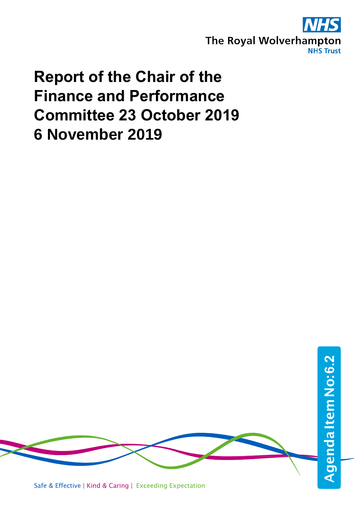

# **Report of the Chair of the Finance and Performance Committee 23 October 2019 6 November 2019**

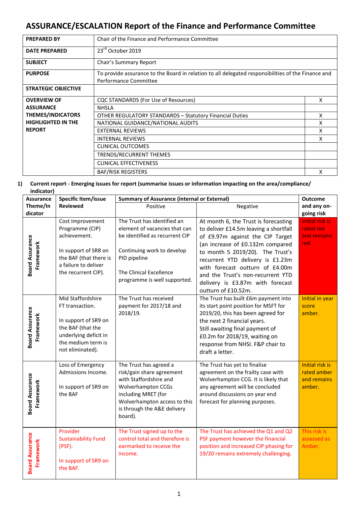# **ASSURANCE/ESCALATION Report of the Finance and Performance Committee**

| <b>PREPARED BY</b>         | Chair of the Finance and Performance Committee                                                                              |   |  |  |  |
|----------------------------|-----------------------------------------------------------------------------------------------------------------------------|---|--|--|--|
| <b>DATE PREPARED</b>       | 23rd October 2019                                                                                                           |   |  |  |  |
| <b>SUBJECT</b>             | Chair's Summary Report                                                                                                      |   |  |  |  |
| <b>PURPOSE</b>             | To provide assurance to the Board in relation to all delegated responsibilities of the Finance and<br>Performance Committee |   |  |  |  |
| <b>STRATEGIC OBJECTIVE</b> |                                                                                                                             |   |  |  |  |
| <b>OVERVIEW OF</b>         | CQC STANDARDS (For Use of Resources)                                                                                        | x |  |  |  |
| <b>ASSURANCE</b>           | <b>NHSLA</b>                                                                                                                |   |  |  |  |
| <b>THEMES/INDICATORS</b>   | <b>OTHER REGULATORY STANDARDS - Statutory Financial Duties</b>                                                              | x |  |  |  |
| <b>HIGHLIGHTED IN THE</b>  | NATIONAL GUIDANCE/NATIONAL AUDITS                                                                                           | x |  |  |  |
| <b>REPORT</b>              | <b>EXTERNAL REVIEWS</b>                                                                                                     | x |  |  |  |
|                            | <b>INTERNAL REVIEWS</b>                                                                                                     | x |  |  |  |
|                            | <b>CLINICAL OUTCOMES</b>                                                                                                    |   |  |  |  |
|                            | TRENDS/RECURRENT THEMES                                                                                                     |   |  |  |  |
|                            | <b>CLINICAL EFFECTIVENESS</b>                                                                                               |   |  |  |  |
|                            | <b>BAF/RISK REGISTERS</b>                                                                                                   | x |  |  |  |

#### **1) Current report - Emerging issues for report (summarise issues or information impacting on the area/compliance/ indicator)**

| <b>Assurance</b>                    | <b>Specific Item/issue</b>                                                                                                                           | <b>Summary of Assurance (internal or External)</b>                                                                                                                                                          | <b>Outcome</b>                                                                                                                                                                                                                                                                                                                                                   |                                                                |
|-------------------------------------|------------------------------------------------------------------------------------------------------------------------------------------------------|-------------------------------------------------------------------------------------------------------------------------------------------------------------------------------------------------------------|------------------------------------------------------------------------------------------------------------------------------------------------------------------------------------------------------------------------------------------------------------------------------------------------------------------------------------------------------------------|----------------------------------------------------------------|
| Theme/In                            | <b>Reviewed</b>                                                                                                                                      | Positive                                                                                                                                                                                                    | Negative                                                                                                                                                                                                                                                                                                                                                         | and any on-                                                    |
| dicator                             |                                                                                                                                                      |                                                                                                                                                                                                             |                                                                                                                                                                                                                                                                                                                                                                  | going risk                                                     |
| <b>Board Assurance</b><br>Framework | Cost Improvement<br>Programme (CIP)<br>achievement.<br>In support of SR8 on<br>the BAF (that there is<br>a failure to deliver<br>the recurrent CIP). | The Trust has identified an<br>element of vacancies that can<br>be identified as recurrent CIP<br>Continuing work to develop<br>PID pipeline<br>The Clinical Excellence<br>programme is well supported.     | At month 6, the Trust is forecasting<br>to deliver £14.5m leaving a shortfall<br>of £9.97m against the CIP Target<br>(an increase of £0.132m compared<br>to month 5 2019/20). The Trust's<br>recurrent YTD delivery is £1.23m<br>with forecast outturn of £4.00m<br>and the Trust's non-recurrent YTD<br>delivery is £3.87m with forecast<br>outturn of £10.52m. | <b>Initial risk is</b><br>rated red<br>and remains<br>red.     |
| <b>Board Assurance</b><br>Framework | Mid Staffordshire<br>FT transaction.<br>In support of SR9 on<br>the BAF (that the<br>underlying deficit in<br>the medium term is<br>not eliminated). | The Trust has received<br>payment for 2017/18 and<br>2018/19.                                                                                                                                               | The Trust has built £6m payment into<br>its start point position for MSFT for<br>2019/20, this has been agreed for<br>the next 2 financial years.<br>Still awaiting final payment of<br>£0.2m for 2018/19, waiting on<br>response from NHSI. F&P chair to<br>draft a letter.                                                                                     | Initial in year<br>score<br>amber.                             |
| <b>Board Assurance</b><br>Framework | Loss of Emergency<br>Admissions Income.<br>In support of SR9 on<br>the BAF                                                                           | The Trust has agreed a<br>risk/gain share agreement<br>with Staffordshire and<br><b>Wolverhampton CCGs</b><br>including MRET (for<br>Wolverhampton access to this<br>is through the A&E delivery<br>board). | The Trust has yet to finalise<br>agreement on the frailty case with<br>Wolverhampton CCG. It is likely that<br>any agreement will be concluded<br>around discussions on year end<br>forecast for planning purposes.                                                                                                                                              | <b>Initial risk is</b><br>rated amber<br>and remains<br>amber. |
| <b>Board Assurance</b><br>Framework | Provider<br><b>Sustainability Fund</b><br>(PSF).<br>In support of SR9 on<br>the BAF.                                                                 | The Trust signed up to the<br>control total and therefore is<br>earmarked to receive the<br>income.                                                                                                         | The Trust has achieved the Q1 and Q2<br>PSF payment however the financial<br>position and increased CIP phasing for<br>19/20 remains extremely challenging.                                                                                                                                                                                                      | This risk is<br>assessed as<br>Amber.                          |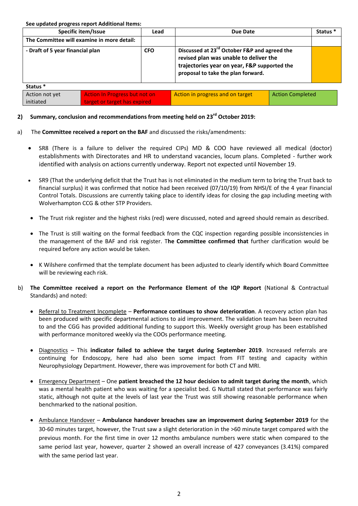**See updated progress report Additional Items:**

initiated

| Specific item/Issue                        |                                      | Lead       | Due Date                                                                                                                                                                                 |                         | Status <sup>*</sup> |  |  |  |
|--------------------------------------------|--------------------------------------|------------|------------------------------------------------------------------------------------------------------------------------------------------------------------------------------------------|-------------------------|---------------------|--|--|--|
| The Committee will examine in more detail: |                                      |            |                                                                                                                                                                                          |                         |                     |  |  |  |
| - Draft of 5 year financial plan           |                                      | <b>CFO</b> | Discussed at 23 <sup>rd</sup> October F&P and agreed the<br>revised plan was unable to deliver the<br>trajectories year on year, F&P supported the<br>proposal to take the plan forward. |                         |                     |  |  |  |
| Status <sup>*</sup>                        |                                      |            |                                                                                                                                                                                          |                         |                     |  |  |  |
| Action not yet                             | <b>Action In Progress but not on</b> |            | Action in progress and on target                                                                                                                                                         | <b>Action Completed</b> |                     |  |  |  |

### **2) Summary, conclusion and recommendations from meeting held on 23rd October 2019:**

a) The **Committee received a report on the BAF** and discussed the risks/amendments:

target or target has expired

- SR8 (There is a failure to deliver the required CIPs) MD & COO have reviewed all medical (doctor) establishments with Directorates and HR to understand vacancies, locum plans. Completed - further work identified with analysis on actions currently underway. Report not expected until November 19.
- SR9 (That the underlying deficit that the Trust has is not eliminated in the medium term to bring the Trust back to financial surplus) it was confirmed that notice had been received (07/10/19) from NHSI/E of the 4 year Financial Control Totals. Discussions are currently taking place to identify ideas for closing the gap including meeting with Wolverhampton CCG & other STP Providers.
- The Trust risk register and the highest risks (red) were discussed, noted and agreed should remain as described.
- The Trust is still waiting on the formal feedback from the CQC inspection regarding possible inconsistencies in the management of the BAF and risk register. T**he Committee confirmed that** further clarification would be required before any action would be taken.
- K Wilshere confirmed that the template document has been adjusted to clearly identify which Board Committee will be reviewing each risk.
- b) **The Committee received a report on the Performance Element of the IQP Report** (National & Contractual Standards) and noted:
	- Referral to Treatment Incomplete **Performance continues to show deterioration**. A recovery action plan has been produced with specific departmental actions to aid improvement. The validation team has been recruited to and the CGG has provided additional funding to support this. Weekly oversight group has been established with performance monitored weekly via the COOs performance meeting.
	- Diagnostics This **indicator failed to achieve the target during September 2019**. Increased referrals are continuing for Endoscopy, here had also been some impact from FIT testing and capacity within Neurophysiology Department. However, there was improvement for both CT and MRI.
	- Emergency Department One **patient breached the 12 hour decision to admit target during the month**, which was a mental health patient who was waiting for a specialist bed. G Nuttall stated that performance was fairly static, although not quite at the levels of last year the Trust was still showing reasonable performance when benchmarked to the national position.
	- Ambulance Handover **Ambulance handover breaches saw an improvement during September 2019** for the 30-60 minutes target, however, the Trust saw a slight deterioration in the >60 minute target compared with the previous month. For the first time in over 12 months ambulance numbers were static when compared to the same period last year, however, quarter 2 showed an overall increase of 427 conveyances (3.41%) compared with the same period last year.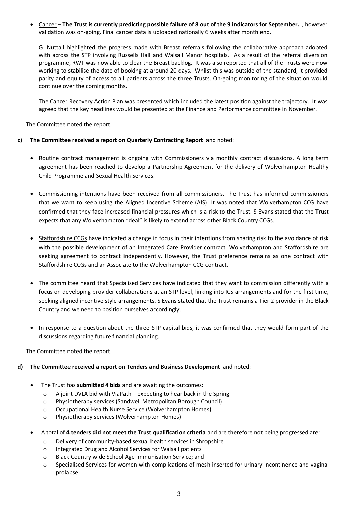Cancer – **The Trust is currently predicting possible failure of 8 out of the 9 indicators for September.** , however validation was on-going. Final cancer data is uploaded nationally 6 weeks after month end.

G. Nuttall highlighted the progress made with Breast referrals following the collaborative approach adopted with across the STP involving Russells Hall and Walsall Manor hospitals. As a result of the referral diversion programme, RWT was now able to clear the Breast backlog. It was also reported that all of the Trusts were now working to stabilise the date of booking at around 20 days. Whilst this was outside of the standard, it provided parity and equity of access to all patients across the three Trusts. On-going monitoring of the situation would continue over the coming months.

The Cancer Recovery Action Plan was presented which included the latest position against the trajectory. It was agreed that the key headlines would be presented at the Finance and Performance committee in November.

The Committee noted the report.

### **c) The Committee received a report on Quarterly Contracting Report** and noted:

- Routine contract management is ongoing with Commissioners via monthly contract discussions. A long term agreement has been reached to develop a Partnership Agreement for the delivery of Wolverhampton Healthy Child Programme and Sexual Health Services.
- Commissioning intentions have been received from all commissioners. The Trust has informed commissioners that we want to keep using the Aligned Incentive Scheme (AIS). It was noted that Wolverhampton CCG have confirmed that they face increased financial pressures which is a risk to the Trust. S Evans stated that the Trust expects that any Wolverhampton "deal" is likely to extend across other Black Country CCGs.
- Staffordshire CCGs have indicated a change in focus in their intentions from sharing risk to the avoidance of risk with the possible development of an Integrated Care Provider contract. Wolverhampton and Staffordshire are seeking agreement to contract independently. However, the Trust preference remains as one contract with Staffordshire CCGs and an Associate to the Wolverhampton CCG contract.
- The committee heard that Specialised Services have indicated that they want to commission differently with a focus on developing provider collaborations at an STP level, linking into ICS arrangements and for the first time, seeking aligned incentive style arrangements. S Evans stated that the Trust remains a Tier 2 provider in the Black Country and we need to position ourselves accordingly.
- In response to a question about the three STP capital bids, it was confirmed that they would form part of the discussions regarding future financial planning.

The Committee noted the report.

#### **d) The Committee received a report on Tenders and Business Development** and noted:

- The Trust has **submitted 4 bids** and are awaiting the outcomes:
	- o A joint DVLA bid with ViaPath expecting to hear back in the Spring
	- o Physiotherapy services (Sandwell Metropolitan Borough Council)
	- o Occupational Health Nurse Service (Wolverhampton Homes)
	- o Physiotherapy services (Wolverhampton Homes)
- A total of **4 tenders did not meet the Trust qualification criteria** and are therefore not being progressed are:
	- o Delivery of community-based sexual health services in Shropshire
	- o Integrated Drug and Alcohol Services for Walsall patients
	- o Black Country wide School Age Immunisation Service; and
	- o Specialised Services for women with complications of mesh inserted for urinary incontinence and vaginal prolapse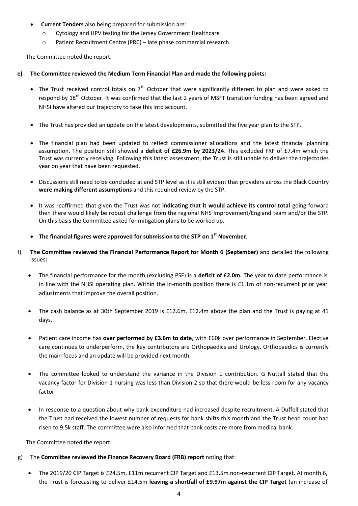- **Current Tenders** also being prepared for submission are:
	- Cytology and HPV testing for the Jersey Government Healthcare
	- o Patient Recruitment Centre (PRC) late phase commercial research

The Committee noted the report.

### **e) The Committee reviewed the Medium Term Financial Plan and made the following points:**

- The Trust received control totals on  $7<sup>th</sup>$  October that were significantly different to plan and were asked to respond by 18<sup>th</sup> October. It was confirmed that the last 2 years of MSFT transition funding has been agreed and NHSI have altered our trajectory to take this into account.
- The Trust has provided an update on the latest developments, submitted the five year plan to the STP.
- The financial plan had been updated to reflect commissioner allocations and the latest financial planning assumption. The position still showed a **deficit of £26.9m by 2023/24**. This excluded FRF of £7.4m which the Trust was currently receiving. Following this latest assessment, the Trust is still unable to deliver the trajectories year on year that have been requested.
- Discussions still need to be concluded at and STP level as it is still evident that providers across the Black Country **were making different assumptions** and this required review by the STP.
- It was reaffirmed that given the Trust was not **indicating that it would achieve its control total** going forward then there would likely be robust challenge from the regional NHS Improvement/England team and/or the STP. On this basis the Committee asked for mitigation plans to be worked up.
- **The financial figures were approved for submission to the STP on 1st November**.
- f) **The Committee reviewed the Financial Performance Report for Month 6 (September)** and detailed the following issues**:**
	- The financial performance for the month (excluding PSF) is a **deficit of £2.0m.** The year to date performance is in line with the NHSI operating plan. Within the in-month position there is £1.1m of non-recurrent prior year adjustments that improve the overall position.
	- The cash balance as at 30th September 2019 is £12.6m, £12.4m above the plan and the Trust is paying at 41 days.
	- Patient care income has **over performed by £3.6m to date**, with £60k over performance in September. Elective care continues to underperform, the key contributors are Orthopaedics and Urology. Orthopaedics is currently the main focus and an update will be provided next month.
	- The committee looked to understand the variance in the Division 1 contribution. G Nuttall stated that the vacancy factor for Division 1 nursing was less than Division 2 so that there would be less room for any vacancy factor.
	- In response to a question about why bank expenditure had increased despite recruitment. A Duffell stated that the Trust had received the lowest number of requests for bank shifts this month and the Trust head count had risen to 9.5k staff. The committee were also informed that bank costs are more from medical bank.

The Committee noted the report.

- g) The **Committee reviewed the Finance Recovery Board (FRB) report** noting that:
	- The 2019/20 CIP Target is £24.5m, £11m recurrent CIP Target and £13.5m non-recurrent CIP Target. At month 6, the Trust is forecasting to deliver £14.5m **leaving a shortfall of £9.97m against the CIP Target** (an increase of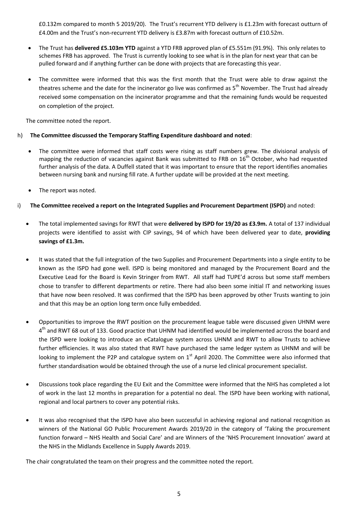£0.132m compared to month 5 2019/20). The Trust's recurrent YTD delivery is £1.23m with forecast outturn of £4.00m and the Trust's non-recurrent YTD delivery is £3.87m with forecast outturn of £10.52m.

- The Trust has **delivered £5.103m YTD** against a YTD FRB approved plan of £5.551m (91.9%). This only relates to schemes FRB has approved. The Trust is currently looking to see what is in the plan for next year that can be pulled forward and if anything further can be done with projects that are forecasting this year.
- The committee were informed that this was the first month that the Trust were able to draw against the theatres scheme and the date for the incinerator go live was confirmed as 5<sup>th</sup> November. The Trust had already received some compensation on the incinerator programme and that the remaining funds would be requested on completion of the project.

The committee noted the report.

## h) **The Committee discussed the Temporary Staffing Expenditure dashboard and noted**:

- The committee were informed that staff costs were rising as staff numbers grew. The divisional analysis of mapping the reduction of vacancies against Bank was submitted to FRB on  $16<sup>th</sup>$  October, who had requested further analysis of the data. A Duffell stated that it was important to ensure that the report identifies anomalies between nursing bank and nursing fill rate. A further update will be provided at the next meeting.
- The report was noted.
- i) **The Committee received a report on the Integrated Supplies and Procurement Department (ISPD)** and noted:
	- The total implemented savings for RWT that were **delivered by ISPD for 19/20 as £3.9m.** A total of 137 individual projects were identified to assist with CIP savings, 94 of which have been delivered year to date, **providing savings of £1.3m.**
	- It was stated that the full integration of the two Supplies and Procurement Departments into a single entity to be known as the ISPD had gone well. ISPD is being monitored and managed by the Procurement Board and the Executive Lead for the Board is Kevin Stringer from RWT. All staff had TUPE'd across but some staff members chose to transfer to different departments or retire. There had also been some initial IT and networking issues that have now been resolved. It was confirmed that the ISPD has been approved by other Trusts wanting to join and that this may be an option long term once fully embedded.
	- Opportunities to improve the RWT position on the procurement league table were discussed given UHNM were 4<sup>th</sup> and RWT 68 out of 133. Good practice that UHNM had identified would be implemented across the board and the ISPD were looking to introduce an eCatalogue system across UHNM and RWT to allow Trusts to achieve further efficiencies. It was also stated that RWT have purchased the same ledger system as UHNM and will be looking to implement the P2P and catalogue system on  $1<sup>st</sup>$  April 2020. The Committee were also informed that further standardisation would be obtained through the use of a nurse led clinical procurement specialist.
	- Discussions took place regarding the EU Exit and the Committee were informed that the NHS has completed a lot of work in the last 12 months in preparation for a potential no deal. The ISPD have been working with national, regional and local partners to cover any potential risks.
	- It was also recognised that the ISPD have also been successful in achieving regional and national recognition as winners of the National GO Public Procurement Awards 2019/20 in the category of 'Taking the procurement function forward – NHS Health and Social Care' and are Winners of the 'NHS Procurement Innovation' award at the NHS in the Midlands Excellence in Supply Awards 2019.

The chair congratulated the team on their progress and the committee noted the report.